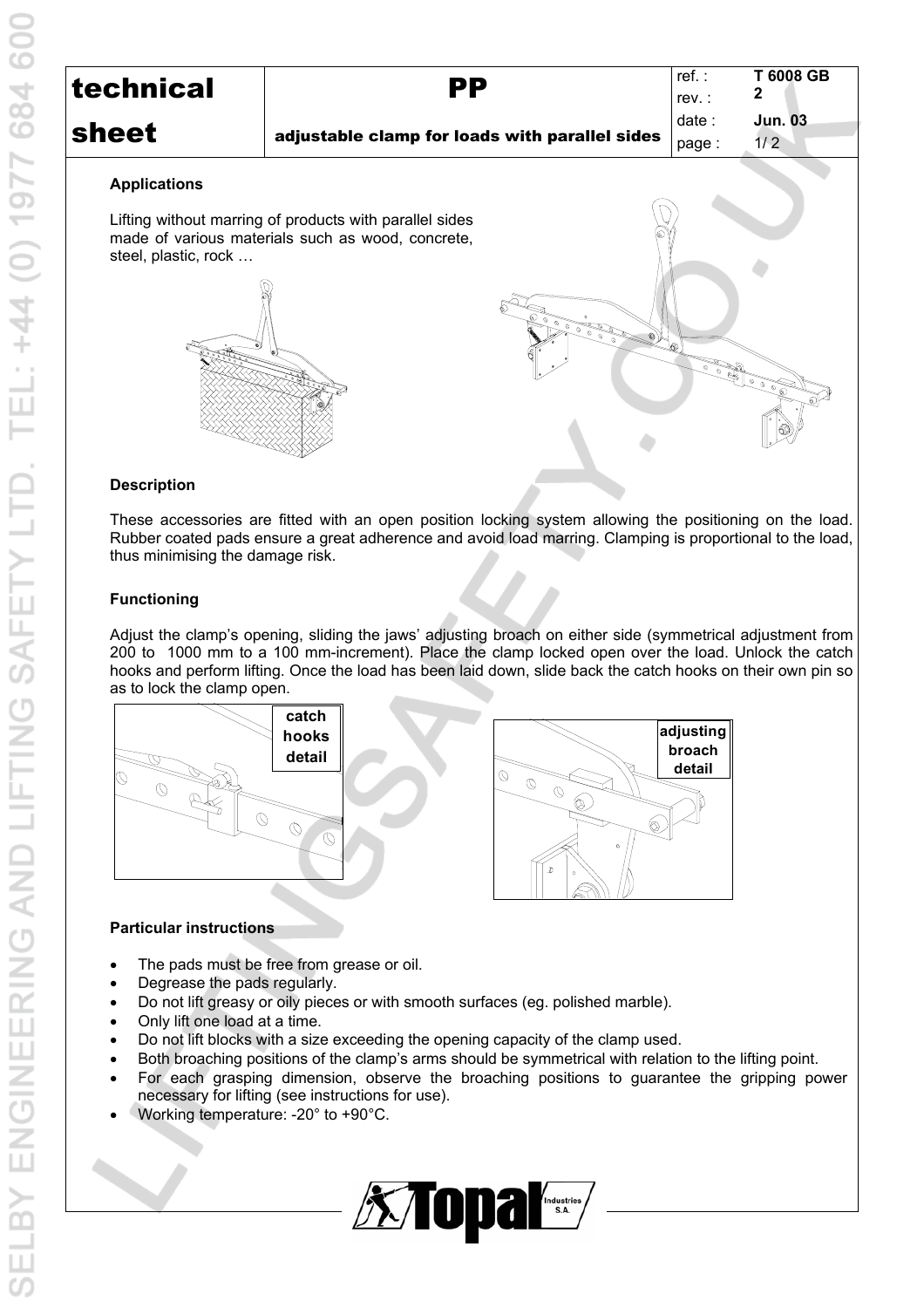| technical | РP                                             | ref. :<br>rev   | T 6008 GB      |
|-----------|------------------------------------------------|-----------------|----------------|
| sheet     | adjustable clamp for loads with parallel sides | date :<br>page: | Jun. 03<br>1/2 |

#### **Applications**

Lifting without marring of products with parallel sides made of various materials such as wood, concrete, steel, plastic, rock …





## **Description**

These accessories are fitted with an open position locking system allowing the positioning on the load. Rubber coated pads ensure a great adherence and avoid load marring. Clamping is proportional to the load, thus minimising the damage risk.

## **Functioning**

Adjust the clamp's opening, sliding the jaws' adjusting broach on either side (symmetrical adjustment from 200 to 1000 mm to a 100 mm-increment). Place the clamp locked open over the load. Unlock the catch hooks and perform lifting. Once the load has been laid down, slide back the catch hooks on their own pin so as to lock the clamp open.



#### **Particular instructions**

- The pads must be free from grease or oil.
- Degrease the pads regularly.
- Do not lift greasy or oily pieces or with smooth surfaces (eg. polished marble).
- Only lift one load at a time.
- Do not lift blocks with a size exceeding the opening capacity of the clamp used.
- Both broaching positions of the clamp's arms should be symmetrical with relation to the lifting point.
- For each grasping dimension, observe the broaching positions to guarantee the gripping power necessary for lifting (see instructions for use).
- Working temperature: -20° to +90°C.